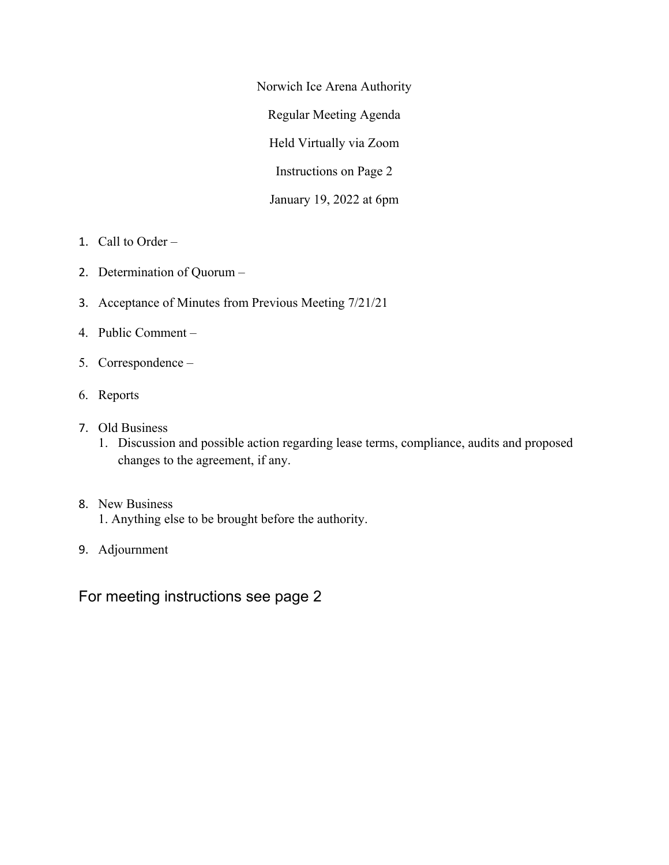Norwich Ice Arena Authority Regular Meeting Agenda Held Virtually via Zoom Instructions on Page 2 January 19, 2022 at 6pm

- 1. Call to Order –
- 2. Determination of Quorum –
- 3. Acceptance of Minutes from Previous Meeting 7/21/21
- 4. Public Comment –
- 5. Correspondence –
- 6. Reports
- 7. Old Business
	- 1. Discussion and possible action regarding lease terms, compliance, audits and proposed changes to the agreement, if any.
- 8. New Business
	- 1. Anything else to be brought before the authority.
- 9. Adjournment

For meeting instructions see page 2